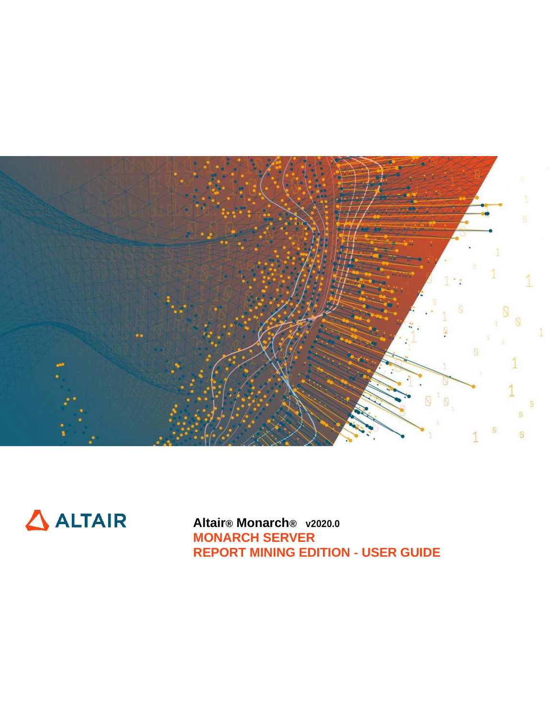



**Altair® Monarch® v2020.0 MONARCH SERVER REPORT MINING EDITION** ‑ **USER GUIDE**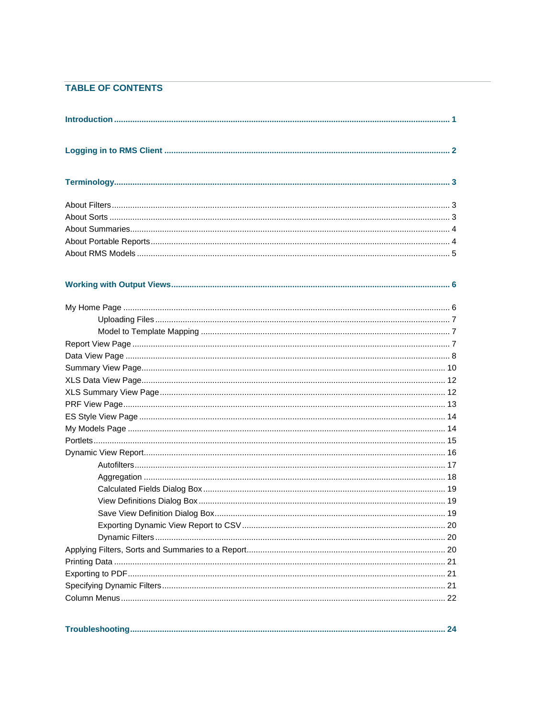## **TABLE OF CONTENTS**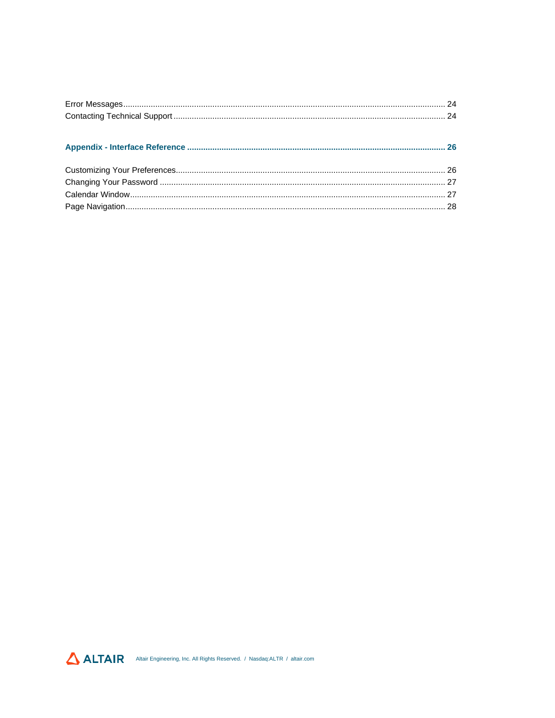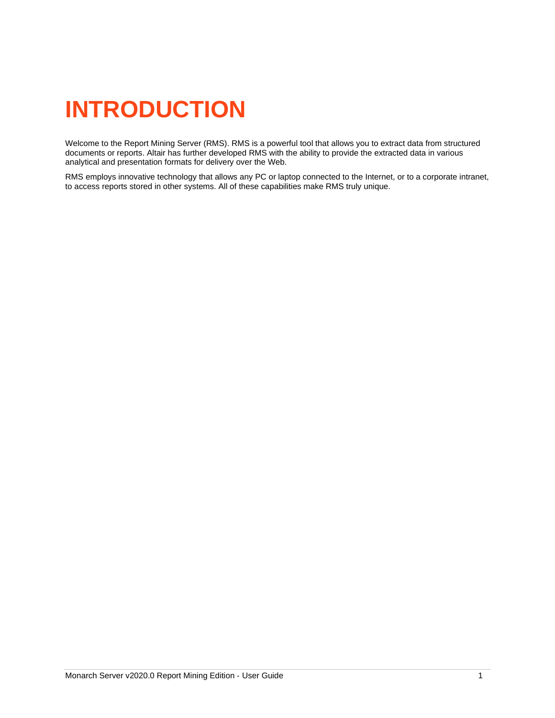# <span id="page-3-0"></span>**INTRODUCTION**

Welcome to the Report Mining Server (RMS). RMS is a powerful tool that allows you to extract data from structured documents or reports. Altair has further developed RMS with the ability to provide the extracted data in various analytical and presentation formats for delivery over the Web.

RMS employs innovative technology that allows any PC or laptop connected to the Internet, or to a corporate intranet, to access reports stored in other systems. All of these capabilities make RMS truly unique.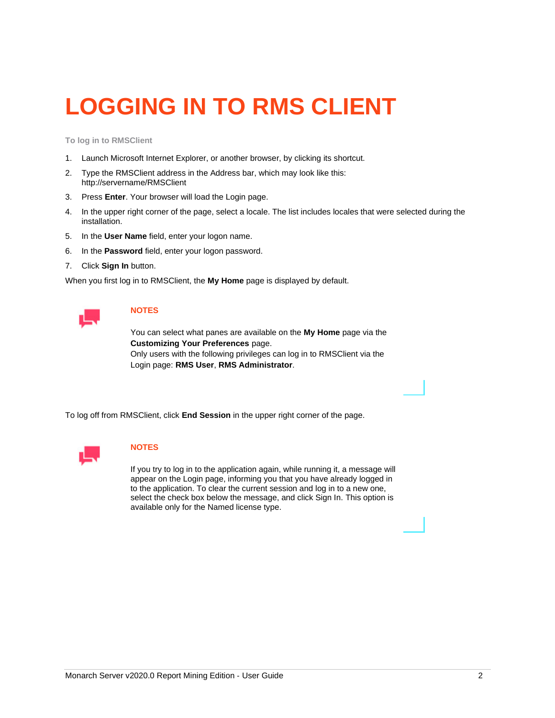# <span id="page-4-0"></span>**LOGGING IN TO RMS CLIENT**

**To log in to RMSClient**

- 1. Launch Microsoft Internet Explorer, or another browser, by clicking its shortcut.
- 2. Type the RMSClient address in the Address bar, which may look like this: http://servername/RMSClient
- 3. Press **Enter**. Your browser will load the Login page.
- 4. In the upper right corner of the page, select a locale. The list includes locales that were selected during the installation.
- 5. In the **User Name** field, enter your logon name.
- 6. In the **Password** field, enter your logon password.
- 7. Click **Sign In** button.

When you first log in to RMSClient, the **My Home** page is displayed by default.



### **NOTES**

You can select what panes are available on the **My Home** page via the **Customizing Your Preferences** page.

Only users with the following privileges can log in to RMSClient via the Login page: **RMS User**, **RMS Administrator**.

To log off from RMSClient, click **End Session** in the upper right corner of the page.



### **NOTES**

If you try to log in to the application again, while running it, a message will appear on the Login page, informing you that you have already logged in to the application. To clear the current session and log in to a new one, select the check box below the message, and click Sign In. This option is available only for the Named license type.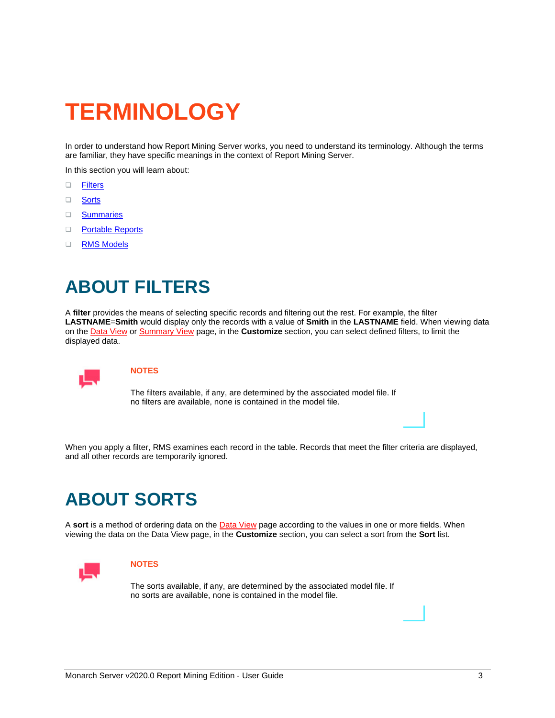# <span id="page-5-0"></span>**TERMINOLOGY**

In order to understand how Report Mining Server works, you need to understand its terminology. Although the terms are familiar, they have specific meanings in the context of Report Mining Server.

In this section you will learn about:

- ❑ [Filters](#page-5-1)
- ❑ [Sorts](#page-5-2)
- ❑ [Summaries](#page-6-0)
- ❑ [Portable](#page-6-1) Reports
- <span id="page-5-1"></span>❑ [RMS Models](#page-7-0)

# **ABOUT FILTERS**

A **filter** provides the means of selecting specific records and filtering out the rest. For example, the filter **LASTNAME**=**Smith** would display only the records with a value of **Smith** in the **LASTNAME** field. When viewing data on th[e Data View](#page-10-0) o[r Summary View](#page-12-0) page, in the **Customize** section, you can select defined filters, to limit the displayed data.



### **NOTES**

The filters available, if any, are determined by the associated model file. If no filters are available, none is contained in the model file.

<span id="page-5-2"></span>When you apply a filter, RMS examines each record in the table. Records that meet the filter criteria are displayed, and all other records are temporarily ignored.

# **ABOUT SORTS**

A **sort** is a method of ordering data on the [Data View](#page-10-0) page according to the values in one or more fields. When viewing the data on the Data View page, in the **Customize** section, you can select a sort from the **Sort** list.



### **NOTES**

The sorts available, if any, are determined by the associated model file. If no sorts are available, none is contained in the model file.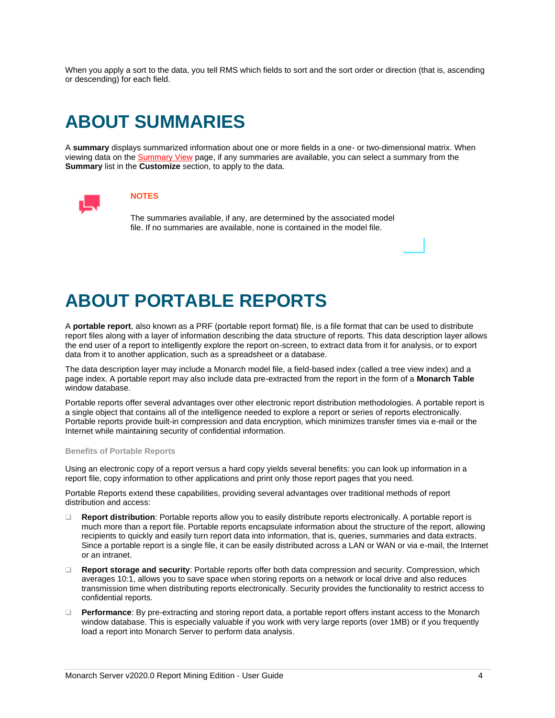When you apply a sort to the data, you tell RMS which fields to sort and the sort order or direction (that is, ascending or descending) for each field.

# <span id="page-6-0"></span>**ABOUT SUMMARIES**

A **summary** displays summarized information about one or more fields in a one- or two-dimensional matrix. When viewing data on the [Summary View](#page-12-0) page, if any summaries are available, you can select a summary from the **Summary** list in the **Customize** section, to apply to the data.



### **NOTES**

The summaries available, if any, are determined by the associated model file. If no summaries are available, none is contained in the model file.

# <span id="page-6-1"></span>**ABOUT PORTABLE REPORTS**

A **portable report**, also known as a PRF (portable report format) file, is a file format that can be used to distribute report files along with a layer of information describing the data structure of reports. This data description layer allows the end user of a report to intelligently explore the report on-screen, to extract data from it for analysis, or to export data from it to another application, such as a spreadsheet or a database.

The data description layer may include a Monarch model file, a field-based index (called a tree view index) and a page index. A portable report may also include data pre-extracted from the report in the form of a **Monarch Table** window database.

Portable reports offer several advantages over other electronic report distribution methodologies. A portable report is a single object that contains all of the intelligence needed to explore a report or series of reports electronically. Portable reports provide built-in compression and data encryption, which minimizes transfer times via e-mail or the Internet while maintaining security of confidential information.

#### **Benefits of Portable Reports**

Using an electronic copy of a report versus a hard copy yields several benefits: you can look up information in a report file, copy information to other applications and print only those report pages that you need.

Portable Reports extend these capabilities, providing several advantages over traditional methods of report distribution and access:

- ❑ **Report distribution**: Portable reports allow you to easily distribute reports electronically. A portable report is much more than a report file. Portable reports encapsulate information about the structure of the report, allowing recipients to quickly and easily turn report data into information, that is, queries, summaries and data extracts. Since a portable report is a single file, it can be easily distributed across a LAN or WAN or via e-mail, the Internet or an intranet.
- ❑ **Report storage and security**: Portable reports offer both data compression and security. Compression, which averages 10:1, allows you to save space when storing reports on a network or local drive and also reduces transmission time when distributing reports electronically. Security provides the functionality to restrict access to confidential reports.
- ❑ **Performance**: By pre-extracting and storing report data, a portable report offers instant access to the Monarch window database. This is especially valuable if you work with very large reports (over 1MB) or if you frequently load a report into Monarch Server to perform data analysis.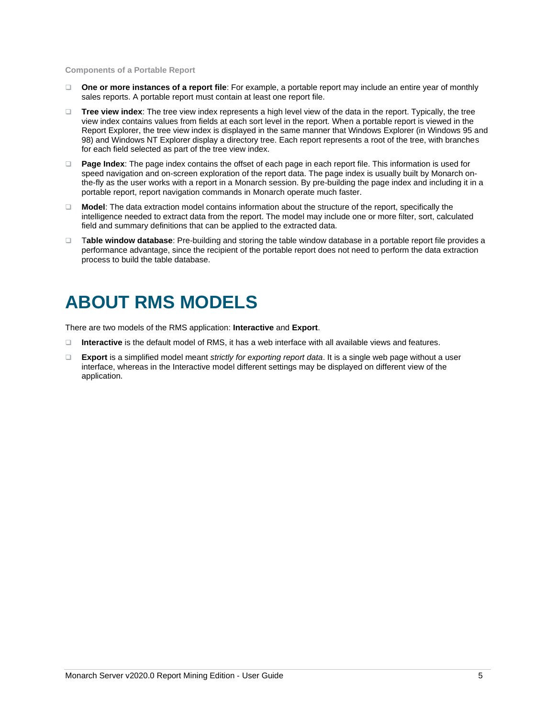**Components of a Portable Report**

- ❑ **One or more instances of a report file**: For example, a portable report may include an entire year of monthly sales reports. A portable report must contain at least one report file.
- ❑ **Tree view index**: The tree view index represents a high level view of the data in the report. Typically, the tree view index contains values from fields at each sort level in the report. When a portable report is viewed in the Report Explorer, the tree view index is displayed in the same manner that Windows Explorer (in Windows 95 and 98) and Windows NT Explorer display a directory tree. Each report represents a root of the tree, with branches for each field selected as part of the tree view index.
- ❑ **Page Index**: The page index contains the offset of each page in each report file. This information is used for speed navigation and on-screen exploration of the report data. The page index is usually built by Monarch onthe-fly as the user works with a report in a Monarch session. By pre-building the page index and including it in a portable report, report navigation commands in Monarch operate much faster.
- ❑ **Model**: The data extraction model contains information about the structure of the report, specifically the intelligence needed to extract data from the report. The model may include one or more filter, sort, calculated field and summary definitions that can be applied to the extracted data.
- ❑ T**able window database**: Pre-building and storing the table window database in a portable report file provides a performance advantage, since the recipient of the portable report does not need to perform the data extraction process to build the table database.

# <span id="page-7-0"></span>**ABOUT RMS MODELS**

There are two models of the RMS application: **Interactive** and **Export**.

- ❑ **Interactive** is the default model of RMS, it has a web interface with all available views and features.
- ❑ **Export** is a simplified model meant *strictly for exporting report data*. It is a single web page without a user interface, whereas in the Interactive model different settings may be displayed on different view of the application.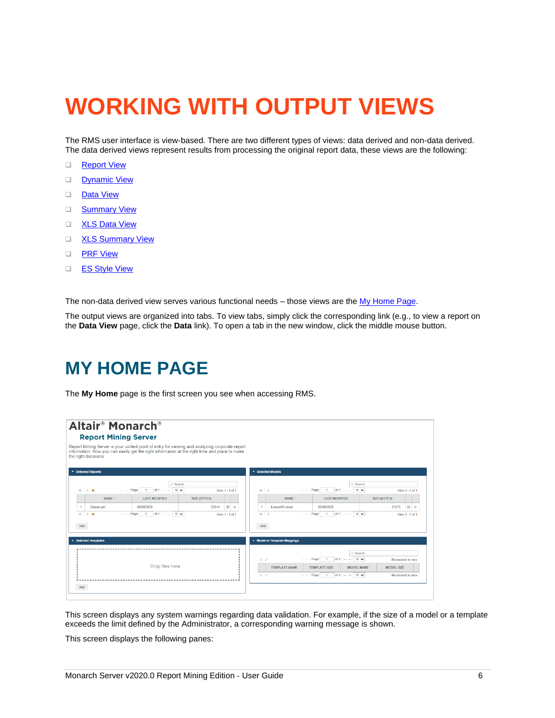# <span id="page-8-0"></span>**WORKING WITH OUTPUT VIEWS**

The RMS user interface is view-based. There are two different types of views: data derived and non-data derived. The data derived views represent results from processing the original report data, these views are the following:

- ❑ [Report View](#page-9-2)
- □ [Dynamic View](#page-18-1)
- ❑ [Data View](#page-10-0)
- □ [Summary View](#page-12-0)
- □ [XLS Data View](#page-14-0)
- □ [XLS Summary View](#page-14-1)
- ❑ [PRF View](#page-15-0)
- ❑ [ES Style View](#page-16-0)

The non-data derived view serves various functional needs – those views are th[e My Home Page.](#page-8-2)

<span id="page-8-1"></span>The output views are organized into tabs. To view tabs, simply click the corresponding link (e.g., to view a report on the **Data View** page, click the **Data** link). To open a tab in the new window, click the middle mouse button.

# **MY HOME PAGE**

<span id="page-8-2"></span>The **My Home** page is the first screen you see when accessing RMS.



This screen displays any system warnings regarding data validation. For example, if the size of a model or a template exceeds the limit defined by the Administrator, a corresponding warning message is shown.

This screen displays the following panes: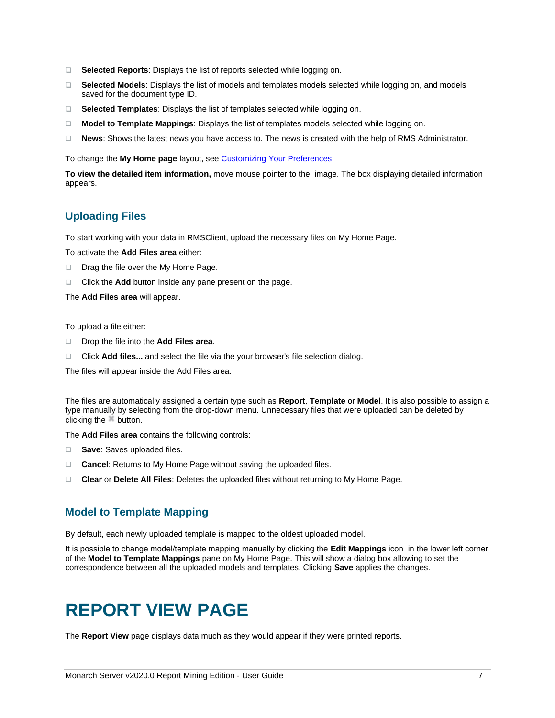- ❑ **Selected Reports**: Displays the list of reports selected while logging on.
- ❑ **Selected Models**: Displays the list of models and templates models selected while logging on, and models saved for the document type ID.
- ❑ **Selected Templates**: Displays the list of templates selected while logging on.
- ❑ **Model to Template Mappings**: Displays the list of templates models selected while logging on.
- ❑ **News**: Shows the latest news you have access to. The news is created with the help of RMS Administrator.

To change the My Home page layout, see [Customizing Your Preferences.](#page-28-1)

**To view the detailed item information,** move mouse pointer to the image. The box displaying detailed information appears.

### <span id="page-9-0"></span>**Uploading Files**

To start working with your data in RMSClient, upload the necessary files on My Home Page.

To activate the **Add Files area** either:

- ❑ Drag the file over the My Home Page.
- ❑ Click the **Add** button inside any pane present on the page.

The **Add Files area** will appear.

To upload a file either:

- ❑ Drop the file into the **Add Files area**.
- ❑ Click **Add files...** and select the file via the your browser's file selection dialog.

The files will appear inside the Add Files area.

The files are automatically assigned a certain type such as **Report**, **Template** or **Model**. It is also possible to assign a type manually by selecting from the drop-down menu. Unnecessary files that were uploaded can be deleted by clicking the <sup>\*\*</sup> button.

The **Add Files area** contains the following controls:

- ❑ **Save**: Saves uploaded files.
- ❑ **Cancel**: Returns to My Home Page without saving the uploaded files.
- <span id="page-9-1"></span>❑ **Clear** or **Delete All Files**: Deletes the uploaded files without returning to My Home Page.

### **Model to Template Mapping**

By default, each newly uploaded template is mapped to the oldest uploaded model.

It is possible to change model/template mapping manually by clicking the **Edit Mappings** icon in the lower left corner of the **Model to Template Mappings** pane on My Home Page. This will show a dialog box allowing to set the correspondence between all the uploaded models and templates. Clicking **Save** applies the changes.

# <span id="page-9-2"></span>**REPORT VIEW PAGE**

The **Report View** page displays data much as they would appear if they were printed reports.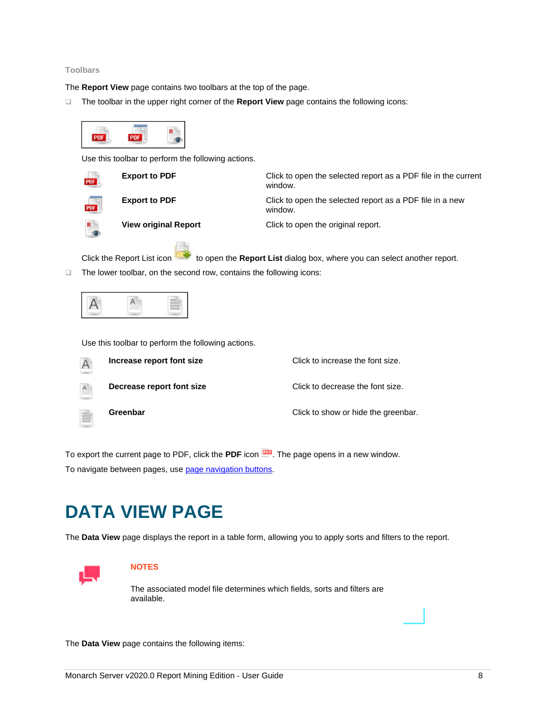#### **Toolbars**

The **Report View** page contains two toolbars at the top of the page.

❑ The toolbar in the upper right corner of the **Report View** page contains the following icons:



Use this toolbar to perform the following actions.



**Export to PDF** Click to open the selected report as a PDF file in the current window. **Export to PDF** Click to open the selected report as a PDF file in a new window. **View original Report** Click to open the original report.

Click the Report List icon the **Report List** dialog box, where you can select another report. ❑ The lower toolbar, on the second row, contains the following icons:



Use this toolbar to perform the following actions.

|    | Increase report font size | Click to increase the font size.    |
|----|---------------------------|-------------------------------------|
| A. | Decrease report font size | Click to decrease the font size.    |
|    | Greenbar                  | Click to show or hide the greenbar. |

To export the current page to PDF, click the PDF icon **EDP**. The page opens in a new window. To navigate between pages, us[e page navigation buttons.](#page-30-0)

# <span id="page-10-0"></span>**DATA VIEW PAGE**

The **Data View** page displays the report in a table form, allowing you to apply sorts and filters to the report.



#### **NOTES**

The associated model file determines which fields, sorts and filters are available.

The **Data View** page contains the following items: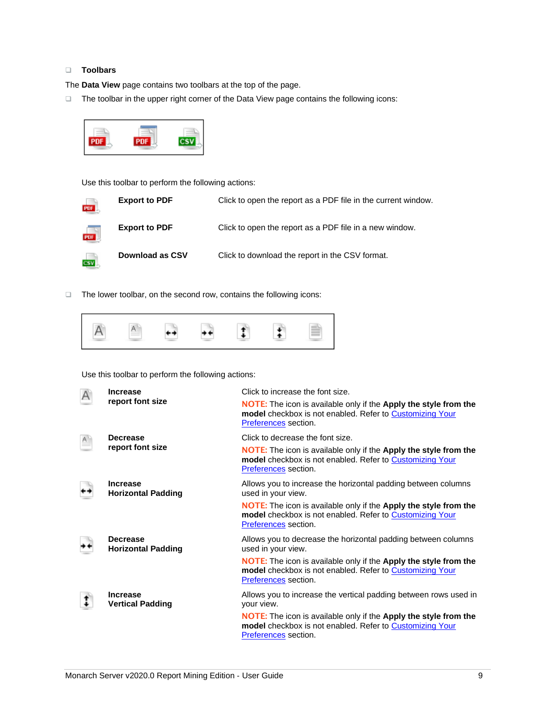### ❑ **Toolbars**

The **Data View** page contains two toolbars at the top of the page.

❑ The toolbar in the upper right corner of the Data View page contains the following icons:



Use this toolbar to perform the following actions:

| m.                      | <b>Export to PDF</b> | Click to open the report as a PDF file in the current window. |
|-------------------------|----------------------|---------------------------------------------------------------|
| $\frac{1}{\text{PDE}}$  | <b>Export to PDF</b> | Click to open the report as a PDF file in a new window.       |
| $\overline{\text{csw}}$ | Download as CSV      | Click to download the report in the CSV format.               |

❑ The lower toolbar, on the second row, contains the following icons:



Use this toolbar to perform the following actions:

|  | <b>Increase</b><br>report font size          | Click to increase the font size.                                                                                                                            |  |  |
|--|----------------------------------------------|-------------------------------------------------------------------------------------------------------------------------------------------------------------|--|--|
|  |                                              | NOTE: The icon is available only if the Apply the style from the<br>model checkbox is not enabled. Refer to Customizing Your<br>Preferences section.        |  |  |
|  | <b>Decrease</b><br>report font size          | Click to decrease the font size.                                                                                                                            |  |  |
|  |                                              | <b>NOTE:</b> The icon is available only if the Apply the style from the<br>model checkbox is not enabled. Refer to Customizing Your<br>Preferences section. |  |  |
|  | <b>Increase</b><br><b>Horizontal Padding</b> | Allows you to increase the horizontal padding between columns<br>used in your view.                                                                         |  |  |
|  |                                              | <b>NOTE:</b> The icon is available only if the Apply the style from the<br>model checkbox is not enabled. Refer to Customizing Your<br>Preferences section. |  |  |
|  | <b>Decrease</b><br><b>Horizontal Padding</b> | Allows you to decrease the horizontal padding between columns<br>used in your view.                                                                         |  |  |
|  |                                              | <b>NOTE:</b> The icon is available only if the Apply the style from the<br>model checkbox is not enabled. Refer to Customizing Your<br>Preferences section. |  |  |
|  | <b>Increase</b><br><b>Vertical Padding</b>   | Allows you to increase the vertical padding between rows used in<br>your view.                                                                              |  |  |
|  |                                              | <b>NOTE:</b> The icon is available only if the Apply the style from the<br>model checkbox is not enabled. Refer to Customizing Your<br>Preferences section. |  |  |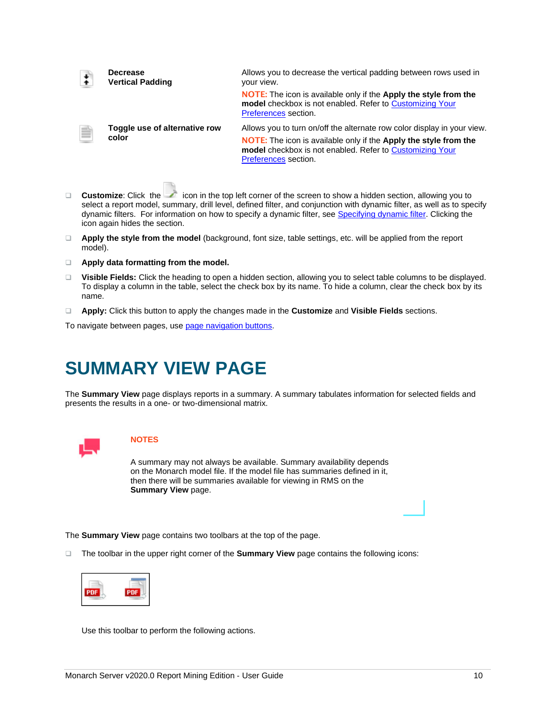|   | <b>Decrease</b><br><b>Vertical Padding</b> | Allows you to decrease the vertical padding between rows used in<br>your view.                                                                                            |
|---|--------------------------------------------|---------------------------------------------------------------------------------------------------------------------------------------------------------------------------|
|   |                                            | <b>NOTE:</b> The icon is available only if the <b>Apply the style from the</b><br><b>model</b> checkbox is not enabled. Refer to Customizing Your<br>Preferences section. |
| ₿ | Toggle use of alternative row<br>color     | Allows you to turn on/off the alternate row color display in your view.                                                                                                   |
|   |                                            | <b>NOTE:</b> The icon is available only if the Apply the style from the<br>model checkbox is not enabled. Refer to Customizing Your<br>Preferences section.               |
|   |                                            |                                                                                                                                                                           |

- □ **Customize**: Click the icon in the top left corner of the screen to show a hidden section, allowing you to select a report model, summary, drill level, defined filter, and conjunction with dynamic filter, as well as to specify dynamic filters. For information on how to specify a dynamic filter, see [Specifying dynamic filter.](#page-23-2) Clicking the icon again hides the section.
- ❑ **Apply the style from the model** (background, font size, table settings, etc. will be applied from the report model).
- ❑ **Apply data formatting from the model.**
- ❑ **Visible Fields:** Click the heading to open a hidden section, allowing you to select table columns to be displayed. To display a column in the table, select the check box by its name. To hide a column, clear the check box by its name.
- ❑ **Apply:** Click this button to apply the changes made in the **Customize** and **Visible Fields** sections.

<span id="page-12-0"></span>To navigate between pages, us[e page navigation buttons.](#page-30-0)

# **SUMMARY VIEW PAGE**

The **Summary View** page displays reports in a summary. A summary tabulates information for selected fields and presents the results in a one- or two-dimensional matrix.



### **NOTES**

A summary may not always be available. Summary availability depends on the Monarch model file. If the model file has summaries defined in it, then there will be summaries available for viewing in RMS on the **Summary View** page.

The **Summary View** page contains two toolbars at the top of the page.

❑ The toolbar in the upper right corner of the **Summary View** page contains the following icons:



Use this toolbar to perform the following actions.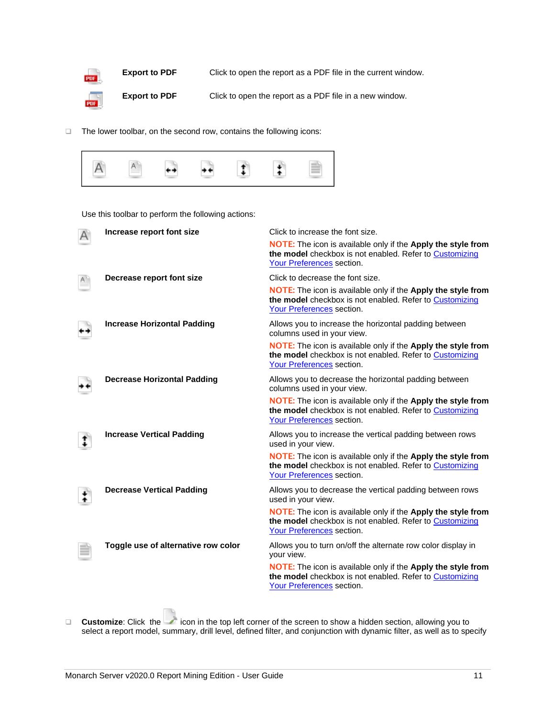

❑ The lower toolbar, on the second row, contains the following icons:



Use this toolbar to perform the following actions:

| Increase report font size           | Click to increase the font size.<br>NOTE: The icon is available only if the Apply the style from<br>the model checkbox is not enabled. Refer to Customizing<br>Your Preferences section. |
|-------------------------------------|------------------------------------------------------------------------------------------------------------------------------------------------------------------------------------------|
| Decrease report font size           | Click to decrease the font size.                                                                                                                                                         |
|                                     | <b>NOTE:</b> The icon is available only if the Apply the style from<br>the model checkbox is not enabled. Refer to Customizing<br>Your Preferences section.                              |
| <b>Increase Horizontal Padding</b>  | Allows you to increase the horizontal padding between<br>columns used in your view.                                                                                                      |
|                                     | <b>NOTE:</b> The icon is available only if the Apply the style from<br>the model checkbox is not enabled. Refer to Customizing<br>Your Preferences section.                              |
| <b>Decrease Horizontal Padding</b>  | Allows you to decrease the horizontal padding between<br>columns used in your view.                                                                                                      |
|                                     | NOTE: The icon is available only if the Apply the style from<br>the model checkbox is not enabled. Refer to Customizing<br>Your Preferences section.                                     |
| <b>Increase Vertical Padding</b>    | Allows you to increase the vertical padding between rows<br>used in your view.                                                                                                           |
|                                     | <b>NOTE:</b> The icon is available only if the Apply the style from<br>the model checkbox is not enabled. Refer to Customizing<br>Your Preferences section.                              |
| <b>Decrease Vertical Padding</b>    | Allows you to decrease the vertical padding between rows<br>used in your view.                                                                                                           |
|                                     | <b>NOTE:</b> The icon is available only if the Apply the style from<br>the model checkbox is not enabled. Refer to Customizing<br>Your Preferences section.                              |
| Toggle use of alternative row color | Allows you to turn on/off the alternate row color display in<br>your view.                                                                                                               |
|                                     | NOTE: The icon is available only if the Apply the style from<br>the model checkbox is not enabled. Refer to Customizing<br>Your Preferences section.                                     |

□ **Customize**: Click the icon in the top left corner of the screen to show a hidden section, allowing you to select a report model, summary, drill level, defined filter, and conjunction with dynamic filter, as well as to specify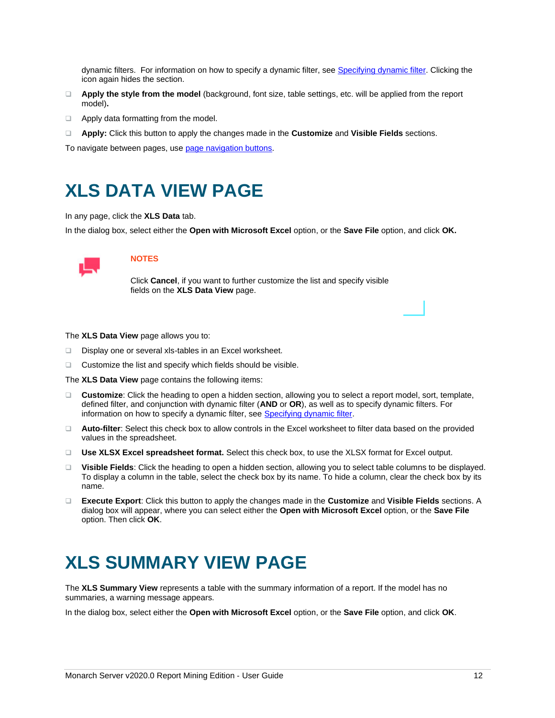dynamic filters. For information on how to specify a dynamic filter, see [Specifying dynamic filter.](#page-23-2) Clicking the icon again hides the section.

- ❑ **Apply the style from the model** (background, font size, table settings, etc. will be applied from the report model)**.**
- ❑ Apply data formatting from the model.
- ❑ **Apply:** Click this button to apply the changes made in the **Customize** and **Visible Fields** sections.

<span id="page-14-0"></span>To navigate between pages, us[e page navigation buttons.](#page-30-0)

# **XLS DATA VIEW PAGE**

In any page, click the **XLS Data** tab.

In the dialog box, select either the **Open with Microsoft Excel** option, or the **Save File** option, and click **OK.**



### **NOTES**

Click **Cancel**, if you want to further customize the list and specify visible fields on the **XLS Data View** page.

The **XLS Data View** page allows you to:

- ❑ Display one or several xls-tables in an Excel worksheet.
- ❑ Customize the list and specify which fields should be visible.

The **XLS Data View** page contains the following items:

- ❑ **Customize**: Click the heading to open a hidden section, allowing you to select a report model, sort, template, defined filter, and conjunction with dynamic filter (**AND** or **OR**), as well as to specify dynamic filters. For information on how to specify a dynamic filter, see **Specifying dynamic filter**.
- ❑ **Auto-filter**: Select this check box to allow controls in the Excel worksheet to filter data based on the provided values in the spreadsheet.
- ❑ **Use XLSX Excel spreadsheet format.** Select this check box, to use the XLSX format for Excel output.
- ❑ **Visible Fields**: Click the heading to open a hidden section, allowing you to select table columns to be displayed. To display a column in the table, select the check box by its name. To hide a column, clear the check box by its name.
- ❑ **Execute Export**: Click this button to apply the changes made in the **Customize** and **Visible Fields** sections. A dialog box will appear, where you can select either the **Open with Microsoft Excel** option, or the **Save File** option. Then click **OK**.

# <span id="page-14-1"></span>**XLS SUMMARY VIEW PAGE**

The **XLS Summary View** represents a table with the summary information of a report. If the model has no summaries, a warning message appears.

In the dialog box, select either the **Open with Microsoft Excel** option, or the **Save File** option, and click **OK**.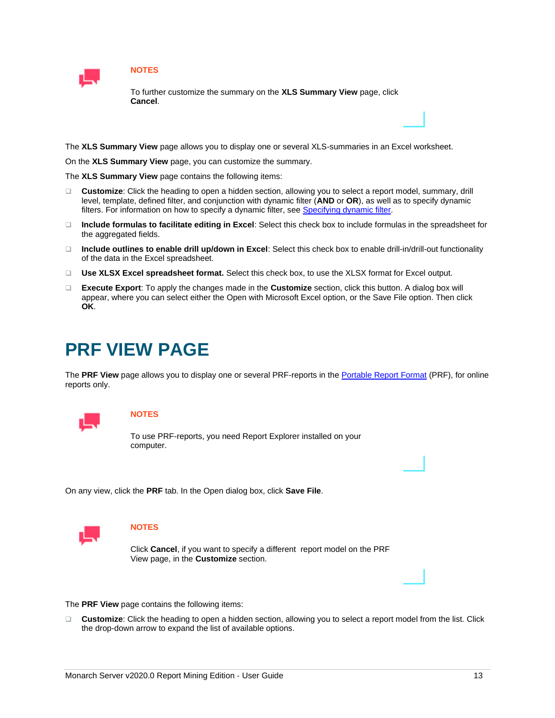

### **NOTES**

To further customize the summary on the **XLS Summary View** page, click **Cancel**.

The **XLS Summary View** page allows you to display one or several XLS-summaries in an Excel worksheet.

On the **XLS Summary View** page, you can customize the summary.

The **XLS Summary View** page contains the following items:

- ❑ **Customize**: Click the heading to open a hidden section, allowing you to select a report model, summary, drill level, template, defined filter, and conjunction with dynamic filter (**AND** or **OR**), as well as to specify dynamic filters. For information on how to specify a dynamic filter, see [Specifying dynamic filter.](#page-23-2)
- ❑ **Include formulas to facilitate editing in Excel**: Select this check box to include formulas in the spreadsheet for the aggregated fields.
- ❑ **Include outlines to enable drill up/down in Excel**: Select this check box to enable drill-in/drill-out functionality of the data in the Excel spreadsheet.
- ❑ **Use XLSX Excel spreadsheet format.** Select this check box, to use the XLSX format for Excel output.
- ❑ **Execute Export**: To apply the changes made in the **Customize** section, click this button. A dialog box will appear, where you can select either the Open with Microsoft Excel option, or the Save File option. Then click **OK**.

# <span id="page-15-0"></span>**PRF VIEW PAGE**

The **PRF View** page allows you to display one or several PRF-reports in th[e Portable Report Format](#page-6-1) (PRF), for online reports only.



### **NOTES**

To use PRF-reports, you need Report Explorer installed on your computer.

On any view, click the **PRF** tab. In the Open dialog box, click **Save File**.



### **NOTES**

Click **Cancel**, if you want to specify a different report model on the PRF View page, in the **Customize** section.

The **PRF View** page contains the following items:

❑ **Customize**: Click the heading to open a hidden section, allowing you to select a report model from the list. Click the drop-down arrow to expand the list of available options.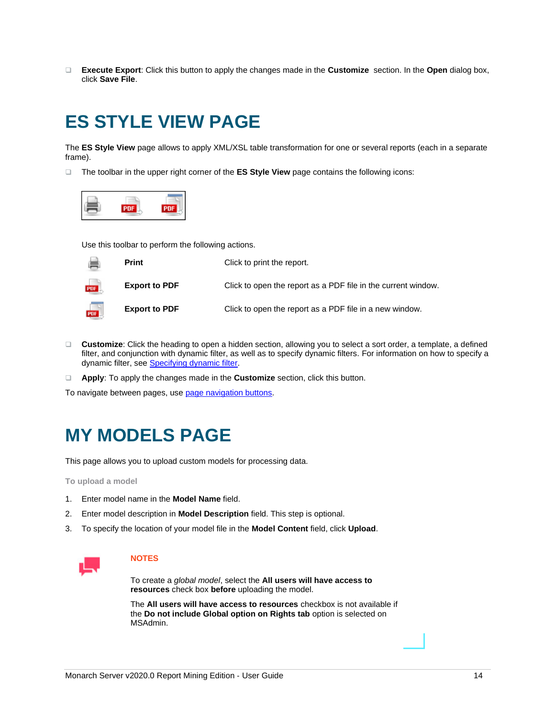❑ **Execute Export**: Click this button to apply the changes made in the **Customize** section. In the **Open** dialog box, click **Save File**.

# <span id="page-16-0"></span>**ES STYLE VIEW PAGE**

The **ES Style View** page allows to apply XML/XSL table transformation for one or several reports (each in a separate frame).

❑ The toolbar in the upper right corner of the **ES Style View** page contains the following icons:



Use this toolbar to perform the following actions.



- ❑ **Customize**: Click the heading to open a hidden section, allowing you to select a sort order, a template, a defined filter, and conjunction with dynamic filter, as well as to specify dynamic filters. For information on how to specify a dynamic filter, see **Specifying dynamic filter**.
- ❑ **Apply**: To apply the changes made in the **Customize** section, click this button.

<span id="page-16-1"></span>To navigate between pages, us[e page navigation buttons.](#page-30-0)

# **MY MODELS PAGE**

This page allows you to upload custom models for processing data.

**To upload a model**

- 1. Enter model name in the **Model Name** field.
- 2. Enter model description in **Model Description** field. This step is optional.
- 3. To specify the location of your model file in the **Model Content** field, click **Upload**.



### **NOTES**

To create a *global model*, select the **All users will have access to resources** check box **before** uploading the model.

The **All users will have access to resources** checkbox is not available if the **Do not include Global option on Rights tab** option is selected on MSAdmin.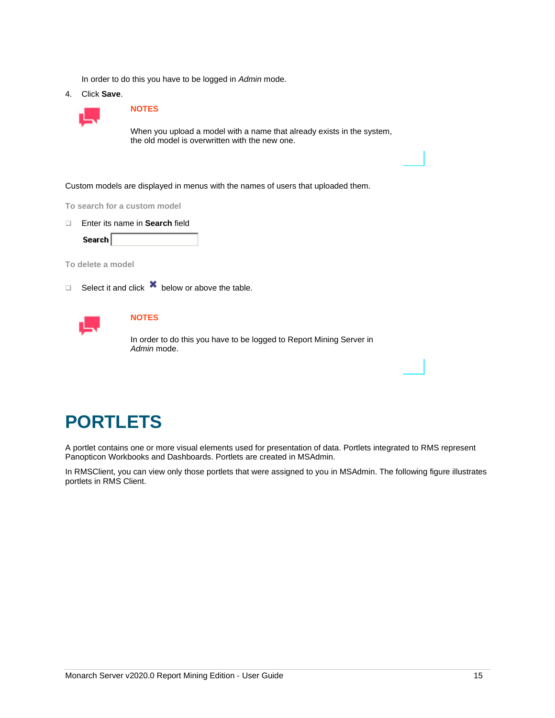In order to do this you have to be logged in *Admin* mode.

4. Click **Save**.



#### **NOTES**

When you upload a model with a name that already exists in the system, the old model is overwritten with the new one.

Custom models are displayed in menus with the names of users that uploaded them.

**To search for a custom model**

❑ Enter its name in **Search** field

Search

**To delete a model**

□ Select it and click  $\mathbf{\times}$  below or above the table.



### **NOTES**

In order to do this you have to be logged to Report Mining Server in *Admin* mode.

# <span id="page-17-0"></span>**PORTLETS**

A portlet contains one or more visual elements used for presentation of data. Portlets integrated to RMS represent Panopticon Workbooks and Dashboards. Portlets are created in MSAdmin.

In RMSClient, you can view only those portlets that were assigned to you in MSAdmin. The following figure illustrates portlets in RMS Client.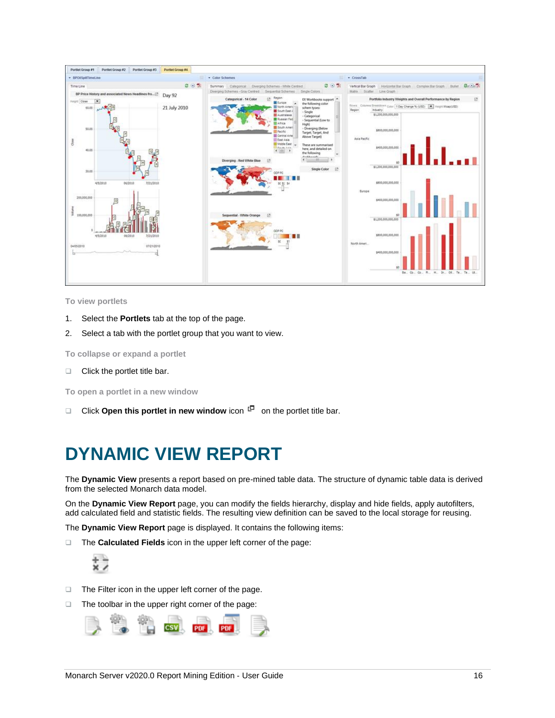

**To view portlets**

- 1. Select the **Portlets** tab at the top of the page.
- 2. Select a tab with the portlet group that you want to view.

**To collapse or expand a portlet**

❑ Click the portlet title bar.

**To open a portlet in a new window**

<span id="page-18-0"></span>□ Click **Open this portlet in new window** icon  $\Box$  on the portlet title bar.

# **DYNAMIC VIEW REPORT**

<span id="page-18-1"></span>The **Dynamic View** presents a report based on pre-mined table data. The structure of dynamic table data is derived from the selected Monarch data model.

On the **Dynamic View Report** page, you can modify the fields hierarchy, display and hide fields, apply autofilters, add calculated field and statistic fields. The resulting view definition can be saved to the local storage for reusing.

The **Dynamic View Report** page is displayed. It contains the following items:

❑ The **Calculated Fields** icon in the upper left corner of the page:



- ❑ The Filter icon in the upper left corner of the page.
- ❑ The toolbar in the upper right corner of the page:

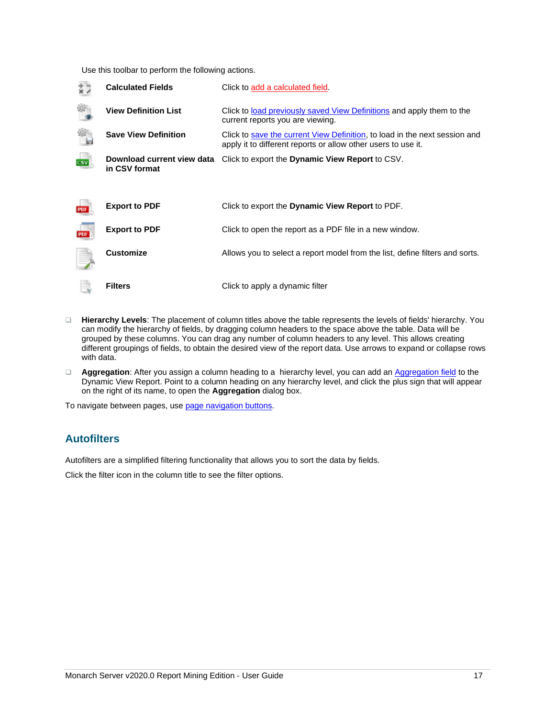Use this toolbar to perform the following actions.

| <b>Calculated Fields</b>                    | Click to add a calculated field.                                                                                                            |
|---------------------------------------------|---------------------------------------------------------------------------------------------------------------------------------------------|
| <b>View Definition List</b>                 | Click to <u>load previously saved View Definitions</u> and apply them to the<br>current reports you are viewing.                            |
| <b>Save View Definition</b>                 | Click to save the current View Definition, to load in the next session and<br>apply it to different reports or allow other users to use it. |
| Download current view data<br>in CSV format | Click to export the <b>Dynamic View Report</b> to CSV.                                                                                      |
|                                             |                                                                                                                                             |
| <b>Export to PDF</b>                        | Click to export the <b>Dynamic View Report</b> to PDF.                                                                                      |
| <b>Export to PDF</b>                        | Click to open the report as a PDF file in a new window.                                                                                     |
| <b>Customize</b>                            | Allows you to select a report model from the list, define filters and sorts.                                                                |
| <b>Filters</b>                              | Click to apply a dynamic filter                                                                                                             |

- ❑ **Hierarchy Levels**: The placement of column titles above the table represents the levels of fields' hierarchy. You can modify the hierarchy of fields, by dragging column headers to the space above the table. Data will be grouped by these columns. You can drag any number of column headers to any level. This allows creating different groupings of fields, to obtain the desired view of the report data. Use arrows to expand or collapse rows with data.
- ❑ **Aggregation**: After you assign a column heading to a hierarchy level, you can add a[n Aggregation field](#page-20-0) to the Dynamic View Report. Point to a column heading on any hierarchy level, and click the plus sign that will appear on the right of its name, to open the **Aggregation** dialog box.

<span id="page-19-0"></span>To navigate between pages, us[e page navigation buttons.](#page-30-0)

## **Autofilters**

Autofilters are a simplified filtering functionality that allows you to sort the data by fields.

Click the filter icon in the column title to see the filter options.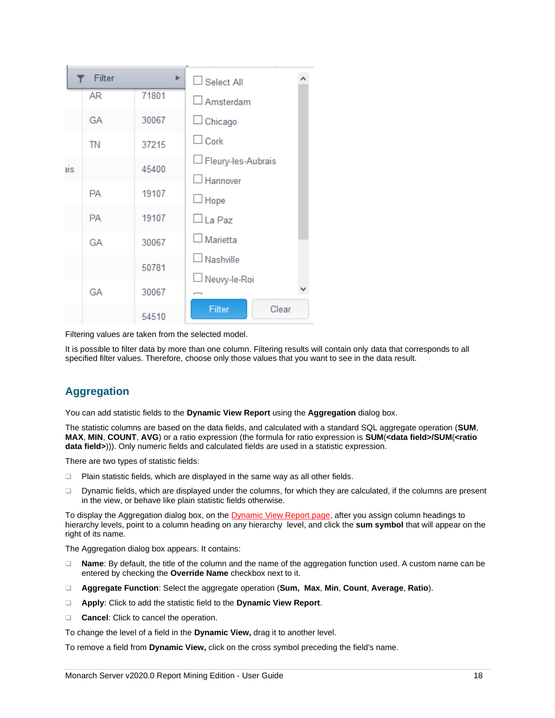

Filtering values are taken from the selected model.

It is possible to filter data by more than one column. Filtering results will contain only data that corresponds to all specified filter values. Therefore, choose only those values that you want to see in the data result.

## <span id="page-20-0"></span>**Aggregation**

You can add statistic fields to the **Dynamic View Report** using the **Aggregation** dialog box.

The statistic columns are based on the data fields, and calculated with a standard SQL aggregate operation (**SUM**, **MAX**, **MIN**, **COUNT**, **AVG**) or a ratio expression (the formula for ratio expression is **SUM**(**<data field>/SUM**(**<ratio data field>**))). Only numeric fields and calculated fields are used in a statistic expression.

There are two types of statistic fields:

- ❑ Plain statistic fields, which are displayed in the same way as all other fields.
- ❑ Dynamic fields, which are displayed under the columns, for which they are calculated, if the columns are present in the view, or behave like plain statistic fields otherwise.

To display the Aggregation dialog box, on the **Dynamic View Report page**, after you assign column headings to hierarchy levels, point to a column heading on any hierarchy level, and click the **sum symbol** that will appear on the right of its name.

The Aggregation dialog box appears. It contains:

- ❑ **Name**: By default, the title of the column and the name of the aggregation function used. A custom name can be entered by checking the **Override Name** checkbox next to it.
- ❑ **Aggregate Function**: Select the aggregate operation (**Sum, Max**, **Min**, **Count**, **Average**, **Ratio**).
- ❑ **Apply**: Click to add the statistic field to the **Dynamic View Report**.
- ❑ **Cancel**: Click to cancel the operation.

To change the level of a field in the **Dynamic View,** drag it to another level.

To remove a field from **Dynamic View,** click on the cross symbol preceding the field's name.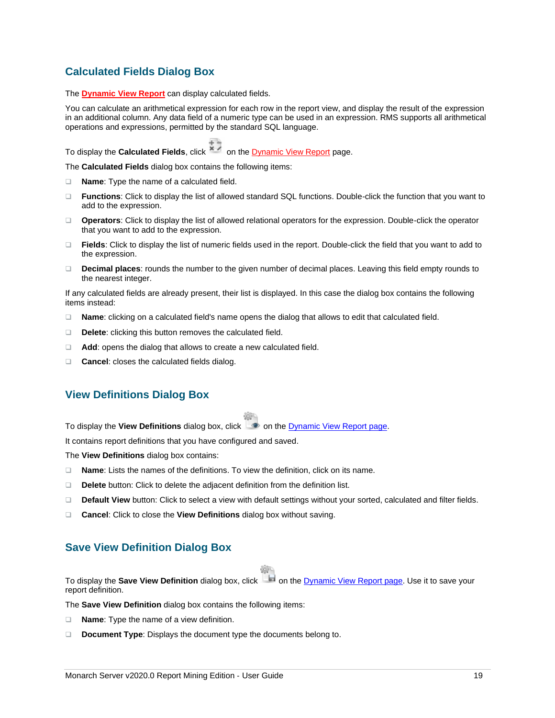## <span id="page-21-0"></span>**Calculated Fields Dialog Box**

The **[Dynamic View Report](#page-18-1)** can display calculated fields.

You can calculate an arithmetical expression for each row in the report view, and display the result of the expression in an additional column. Any data field of a numeric type can be used in an expression. RMS supports all arithmetical operations and expressions, permitted by the standard SQL language.

To display the **Calculated Fields**, click **X** on th[e Dynamic View Report](#page-18-1) page.

The **Calculated Fields** dialog box contains the following items:

- ❑ **Name**: Type the name of a calculated field.
- ❑ **Functions**: Click to display the list of allowed standard SQL functions. Double-click the function that you want to add to the expression.
- ❑ **Operators**: Click to display the list of allowed relational operators for the expression. Double-click the operator that you want to add to the expression.
- ❑ **Fields**: Click to display the list of numeric fields used in the report. Double-click the field that you want to add to the expression.
- ❑ **Decimal places**: rounds the number to the given number of decimal places. Leaving this field empty rounds to the nearest integer.

If any calculated fields are already present, their list is displayed. In this case the dialog box contains the following items instead:

- ❑ **Name**: clicking on a calculated field's name opens the dialog that allows to edit that calculated field.
- ❑ **Delete**: clicking this button removes the calculated field.
- ❑ **Add**: opens the dialog that allows to create a new calculated field.
- <span id="page-21-1"></span>❑ **Cancel**: closes the calculated fields dialog.

### **View Definitions Dialog Box**

To display the **View Definitions** dialog box, click **on** the [Dynamic View Report page.](#page-18-1)

It contains report definitions that you have configured and saved.

The **View Definitions** dialog box contains:

- ❑ **Name**: Lists the names of the definitions. To view the definition, click on its name.
- ❑ **Delete** button: Click to delete the adjacent definition from the definition list.
- ❑ **Default View** button: Click to select a view with default settings without your sorted, calculated and filter fields.
- <span id="page-21-2"></span>❑ **Cancel**: Click to close the **View Definitions** dialog box without saving.

### **Save View Definition Dialog Box**

To display the **Save View Definition** dialog box, click **on** the [Dynamic View Report page.](#page-18-1) Use it to save your report definition.

The **Save View Definition** dialog box contains the following items:

- ❑ **Name**: Type the name of a view definition.
- ❑ **Document Type**: Displays the document type the documents belong to.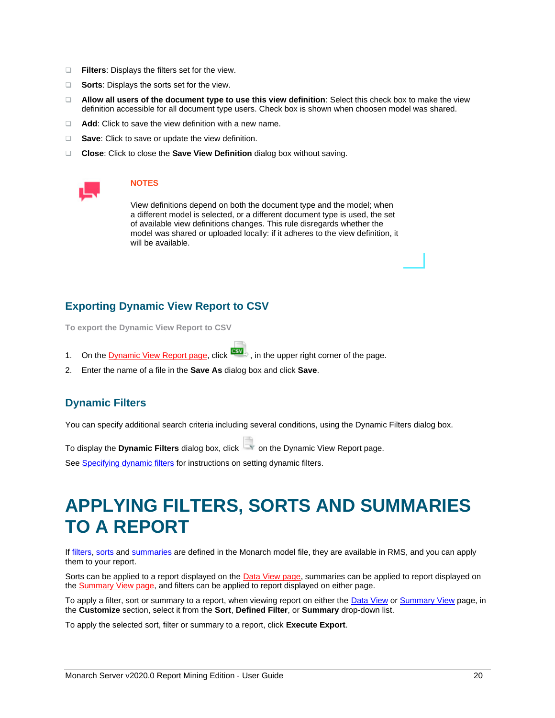- ❑ **Filters**: Displays the filters set for the view.
- ❑ **Sorts**: Displays the sorts set for the view.
- ❑ **Allow all users of the document type to use this view definition**: Select this check box to make the view definition accessible for all document type users. Check box is shown when choosen model was shared.
- ❑ **Add**: Click to save the view definition with a new name.
- ❑ **Save**: Click to save or update the view definition.
- ❑ **Close**: Click to close the **Save View Definition** dialog box without saving.



#### **NOTES**

View definitions depend on both the document type and the model; when a different model is selected, or a different document type is used, the set of available view definitions changes. This rule disregards whether the model was shared or uploaded locally: if it adheres to the view definition, it will be available.

### <span id="page-22-0"></span>**Exporting Dynamic View Report to CSV**

**To export the Dynamic View Report to CSV**

- 1. On th[e Dynamic View Report page,](#page-18-1) click  $\frac{dS}{dx}$ , in the upper right corner of the page.
- <span id="page-22-1"></span>2. Enter the name of a file in the **Save As** dialog box and click **Save**.

### **Dynamic Filters**

You can specify additional search criteria including several conditions, using the Dynamic Filters dialog box.

To display the **Dynamic Filters** dialog box, click **the Dynamic View Report page.** 

<span id="page-22-2"></span>Se[e Specifying dynamic filters](#page-23-2) for instructions on setting dynamic filters.

# **APPLYING FILTERS, SORTS AND SUMMARIES TO A REPORT**

I[f filters,](#page-5-1) [sorts](#page-5-2) an[d summaries](#page-6-0) are defined in the Monarch model file, they are available in RMS, and you can apply them to your report.

Sorts can be applied to a report displayed on the [Data View page,](#page-10-0) summaries can be applied to report displayed on the [Summary View page,](#page-12-0) and filters can be applied to report displayed on either page.

To apply a filter, sort or summary to a report, when viewing report on either the [Data View](#page-10-0) or [Summary View](#page-12-0) page, in the **Customize** section, select it from the **Sort**, **Defined Filter**, or **Summary** drop-down list.

To apply the selected sort, filter or summary to a report, click **Execute Export**.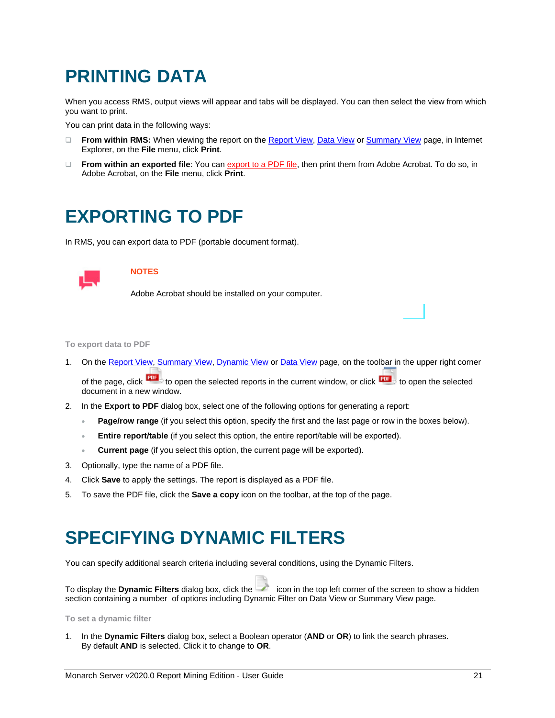# <span id="page-23-0"></span>**PRINTING DATA**

When you access RMS, output views will appear and tabs will be displayed. You can then select the view from which you want to print.

You can print data in the following ways:

- ❑ **From within RMS:** When viewing the report on the [Report View,](#page-9-2) [Data View](#page-10-0) or [Summary View](#page-12-0) page, in Internet Explorer, on the **File** menu, click **Print**.
- ❑ **From within an exported file**: You ca[n export to a PDF file,](#page-23-1) then print them from Adobe Acrobat. To do so, in Adobe Acrobat, on the **File** menu, click **Print**.

# <span id="page-23-1"></span>**EXPORTING TO PDF**

In RMS, you can export data to PDF (portable document format).



### **NOTES**

Adobe Acrobat should be installed on your computer.

#### **To export data to PDF**

- 1. On th[e Report View,](#page-9-2) [Summary View,](#page-12-0) [Dynamic View](#page-18-1) or [Data View](#page-10-0) page, on the toolbar in the upper right corner of the page, click the sto open the selected reports in the current window, or click the selected to open the selected document in a new window.
- 2. In the **Export to PDF** dialog box, select one of the following options for generating a report:
	- **Page/row range** (if you select this option, specify the first and the last page or row in the boxes below).
	- **Entire report/table** (if you select this option, the entire report/table will be exported).
	- **Current page** (if you select this option, the current page will be exported).
- 3. Optionally, type the name of a PDF file.
- 4. Click **Save** to apply the settings. The report is displayed as a PDF file.
- <span id="page-23-2"></span>5. To save the PDF file, click the **Save a copy** icon on the toolbar, at the top of the page.

# **SPECIFYING DYNAMIC FILTERS**

You can specify additional search criteria including several conditions, using the Dynamic Filters.

To display the **Dynamic Filters** dialog box, click the icon in the top left corner of the screen to show a hidden section containing a number of options including Dynamic Filter on Data View or Summary View page.

**To set a dynamic filter**

1. In the **Dynamic Filters** dialog box, select a Boolean operator (**AND** or **OR**) to link the search phrases. By default **AND** is selected. Click it to change to **OR**.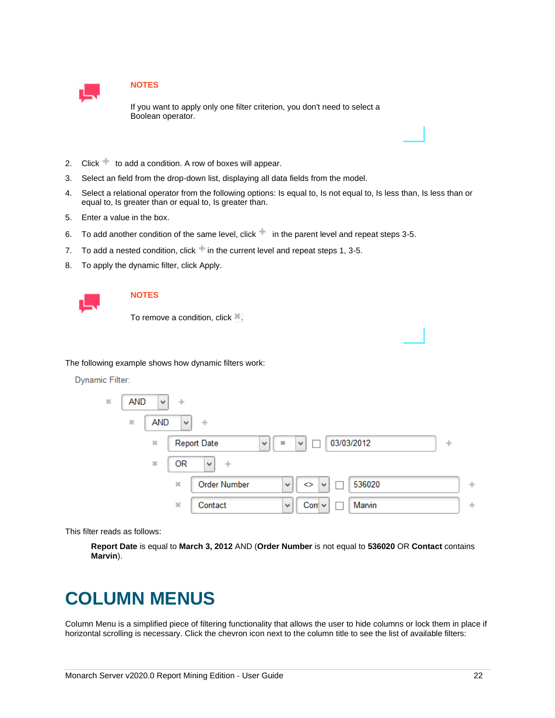

### **NOTES**

If you want to apply only one filter criterion, you don't need to select a Boolean operator.

- 2. Click  $\pm$  to add a condition. A row of boxes will appear.
- 3. Select an field from the drop-down list, displaying all data fields from the model.
- 4. Select a relational operator from the following options: Is equal to, Is not equal to, Is less than, Is less than or equal to, Is greater than or equal to, Is greater than.
- 5. Enter a value in the box.
- 6. To add another condition of the same level, click in the parent level and repeat steps 3-5.
- 7. To add a nested condition, click in the current level and repeat steps 1, 3-5.
- 8. To apply the dynamic filter, click Apply.



### **NOTES**

To remove a condition, click ...

The following example shows how dynamic filters work:

#### **Dynamic Filter:**



This filter reads as follows:

**Report Date** is equal to **March 3, 2012** AND (**Order Number** is not equal to **536020** OR **Contact** contains **Marvin**).

# <span id="page-24-0"></span>**COLUMN MENUS**

Column Menu is a simplified piece of filtering functionality that allows the user to hide columns or lock them in place if horizontal scrolling is necessary. Click the chevron icon next to the column title to see the list of available filters: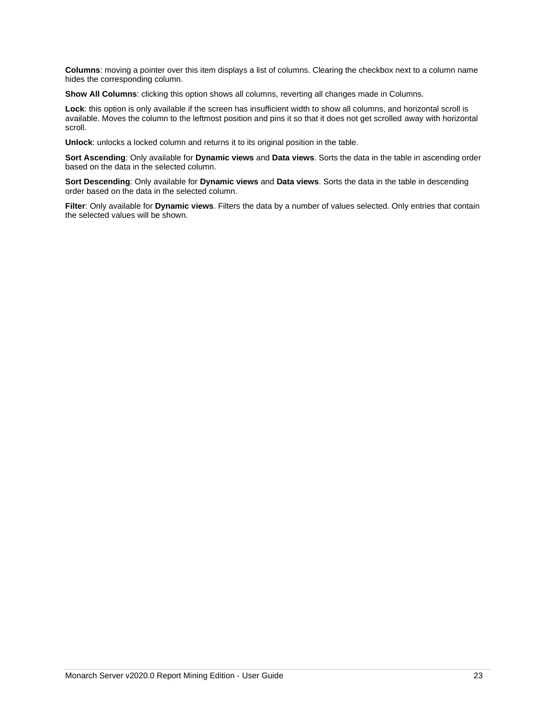**Columns**: moving a pointer over this item displays a list of columns. Clearing the checkbox next to a column name hides the corresponding column.

**Show All Columns**: clicking this option shows all columns, reverting all changes made in Columns.

**Lock**: this option is only available if the screen has insufficient width to show all columns, and horizontal scroll is available. Moves the column to the leftmost position and pins it so that it does not get scrolled away with horizontal scroll.

**Unlock**: unlocks a locked column and returns it to its original position in the table.

**Sort Ascending**: Only available for **Dynamic views** and **Data views**. Sorts the data in the table in ascending order based on the data in the selected column.

**Sort Descending**: Only available for **Dynamic views** and **Data views**. Sorts the data in the table in descending order based on the data in the selected column.

**Filter**: Only available for **Dynamic views**. Filters the data by a number of values selected. Only entries that contain the selected values will be shown.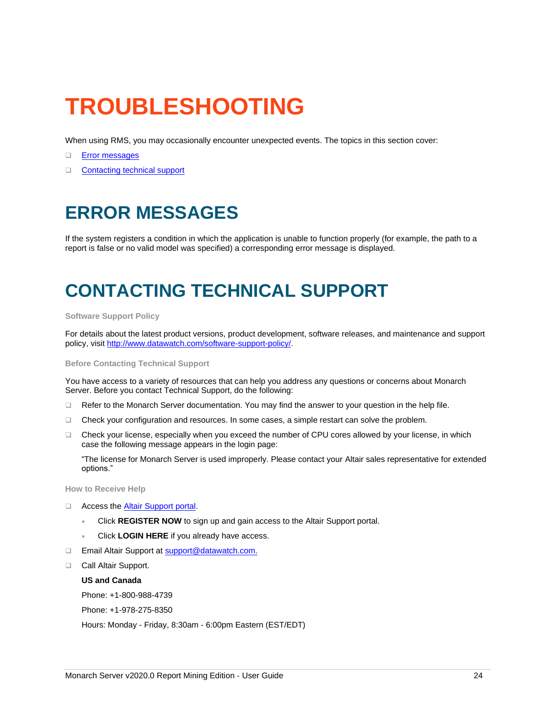# <span id="page-26-0"></span>**TROUBLESHOOTING**

When using RMS, you may occasionally encounter unexpected events. The topics in this section cover:

#### ❑ [Error messages](#page-26-1)

<span id="page-26-1"></span>❑ [Contacting technical support](#page-26-2)

# **ERROR MESSAGES**

If the system registers a condition in which the application is unable to function properly (for example, the path to a report is false or no valid model was specified) a corresponding error message is displayed.

# <span id="page-26-2"></span>**CONTACTING TECHNICAL SUPPORT**

#### **Software Support Policy**

For details about the latest product versions, product development, software releases, and maintenance and support policy, visit [http://www.datawatch.com/software-support-policy/.](http://www.datawatch.com/software-support-policy/)

#### **Before Contacting Technical Support**

You have access to a variety of resources that can help you address any questions or concerns about Monarch Server. Before you contact Technical Support, do the following:

- ❑ Refer to the Monarch Server documentation. You may find the answer to your question in the help file.
- ❑ Check your configuration and resources. In some cases, a simple restart can solve the problem.
- ❑ Check your license, especially when you exceed the number of CPU cores allowed by your license, in which case the following message appears in the login page:

"The license for Monarch Server is used improperly. Please contact your Altair sales representative for extended options."

**How to Receive Help**

- ❑ Access the Altair [Support portal.](http://www.datawatch.com/support/)
	- Click **REGISTER NOW** to sign up and gain access to the Altair Support portal.
	- Click **LOGIN HERE** if you already have access.
- □ Email Altair Support at [support@datawatch.com.](mailto:support@datawatch.com)
- ❑ Call Altair Support.

**US and Canada**

Phone: +1-800-988-4739

Phone: +1-978-275-8350

Hours: Monday - Friday, 8:30am - 6:00pm Eastern (EST/EDT)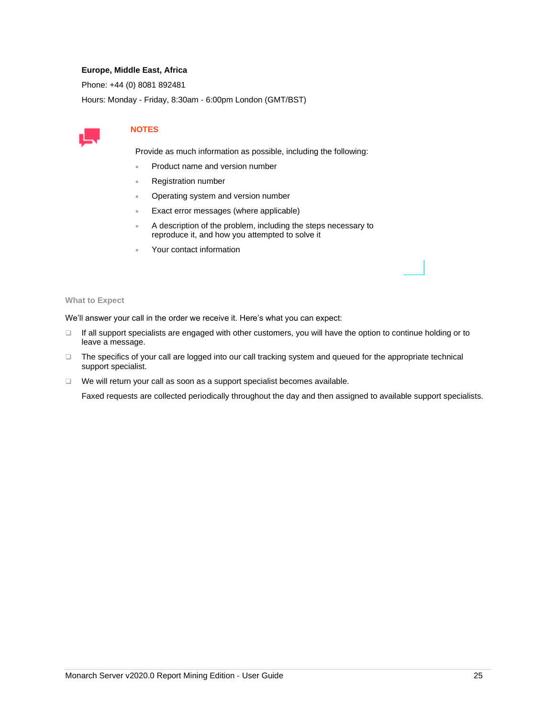### **Europe, Middle East, Africa**

Phone: +44 (0) 8081 892481

Hours: Monday - Friday, 8:30am - 6:00pm London (GMT/BST)



### **NOTES**

Provide as much information as possible, including the following:

- Product name and version number
- Registration number
- Operating system and version number
- Exact error messages (where applicable)
- A description of the problem, including the steps necessary to reproduce it, and how you attempted to solve it
- Your contact information

#### **What to Expect**

We'll answer your call in the order we receive it. Here's what you can expect:

- ❑ If all support specialists are engaged with other customers, you will have the option to continue holding or to leave a message.
- ❑ The specifics of your call are logged into our call tracking system and queued for the appropriate technical support specialist.
- ❑ We will return your call as soon as a support specialist becomes available.

Faxed requests are collected periodically throughout the day and then assigned to available support specialists.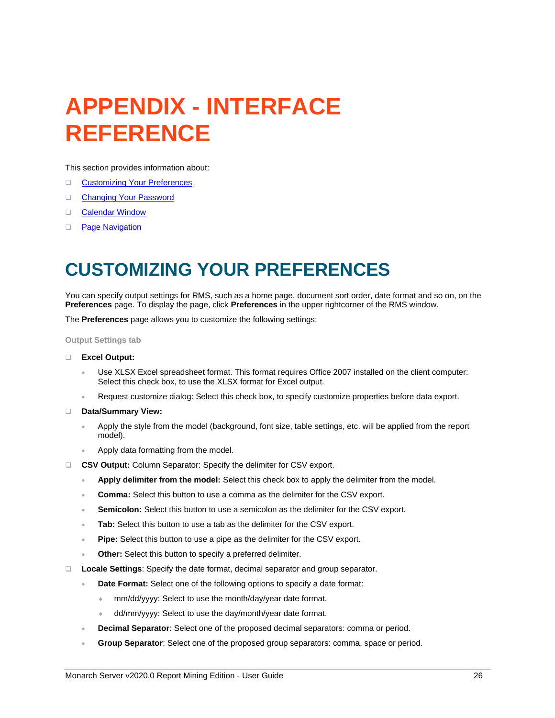# <span id="page-28-0"></span>**APPENDIX - INTERFACE REFERENCE**

This section provides information about:

- ❑ [Customizing Your Preferences](#page-28-1)
- ❑ [Changing Your Password](#page-29-0)
- □ [Calendar Window](#page-29-1)
- <span id="page-28-1"></span>□ [Page Navigation](#page-30-0)

# **CUSTOMIZING YOUR PREFERENCES**

You can specify output settings for RMS, such as a home page, document sort order, date format and so on, on the **Preferences** page. To display the page, click **Preferences** in the upper rightcorner of the RMS window.

The **Preferences** page allows you to customize the following settings:

**Output Settings tab**

- ❑ **Excel Output:**
	- Use XLSX Excel spreadsheet format. This format requires Office 2007 installed on the client computer: Select this check box, to use the XLSX format for Excel output.
	- Request customize dialog: Select this check box, to specify customize properties before data export.
- ❑ **Data/Summary View:**
	- Apply the style from the model (background, font size, table settings, etc. will be applied from the report model).
	- Apply data formatting from the model.
- ❑ **CSV Output:** Column Separator: Specify the delimiter for CSV export.
	- **Apply delimiter from the model:** Select this check box to apply the delimiter from the model.
	- **Comma:** Select this button to use a comma as the delimiter for the CSV export.
	- **Semicolon:** Select this button to use a semicolon as the delimiter for the CSV export.
	- Tab: Select this button to use a tab as the delimiter for the CSV export.
	- **Pipe:** Select this button to use a pipe as the delimiter for the CSV export.
	- **Other:** Select this button to specify a preferred delimiter.
- ❑ **Locale Settings**: Specify the date format, decimal separator and group separator.
	- **Date Format:** Select one of the following options to specify a date format:
		- mm/dd/yyyy: Select to use the month/day/year date format.
		- dd/mm/yyyy: Select to use the day/month/year date format.
	- **Decimal Separator**: Select one of the proposed decimal separators: comma or period.
	- **Group Separator**: Select one of the proposed group separators: comma, space or period.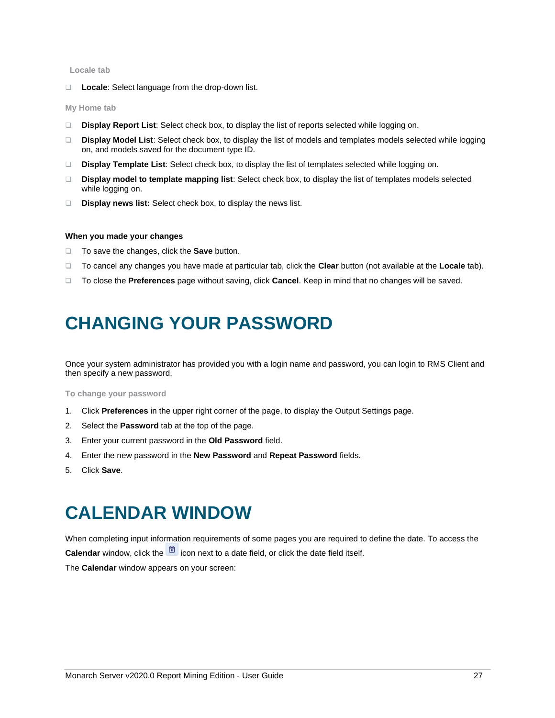#### **Locale tab**

❑ **Locale**: Select language from the drop-down list.

#### **My Home tab**

- ❑ **Display Report List**: Select check box, to display the list of reports selected while logging on.
- ❑ **Display Model List**: Select check box, to display the list of models and templates models selected while logging on, and models saved for the document type ID.
- ❑ **Display Template List**: Select check box, to display the list of templates selected while logging on.
- ❑ **Display model to template mapping list**: Select check box, to display the list of templates models selected while logging on.
- ❑ **Display news list:** Select check box, to display the news list.

#### **When you made your changes**

- ❑ To save the changes, click the **Save** button.
- ❑ To cancel any changes you have made at particular tab, click the **Clear** button (not available at the **Locale** tab).
- <span id="page-29-0"></span>❑ To close the **Preferences** page without saving, click **Cancel**. Keep in mind that no changes will be saved.

# **CHANGING YOUR PASSWORD**

Once your system administrator has provided you with a login name and password, you can login to RMS Client and then specify a new password.

#### **To change your password**

- 1. Click **Preferences** in the upper right corner of the page, to display the Output Settings page.
- 2. Select the **Password** tab at the top of the page.
- 3. Enter your current password in the **Old Password** field.
- 4. Enter the new password in the **New Password** and **Repeat Password** fields.
- <span id="page-29-1"></span>5. Click **Save**.

# **CALENDAR WINDOW**

When completing input information requirements of some pages you are required to define the date. To access the **Calendar** window, click the **ight** icon next to a date field, or click the date field itself.

The **Calendar** window appears on your screen: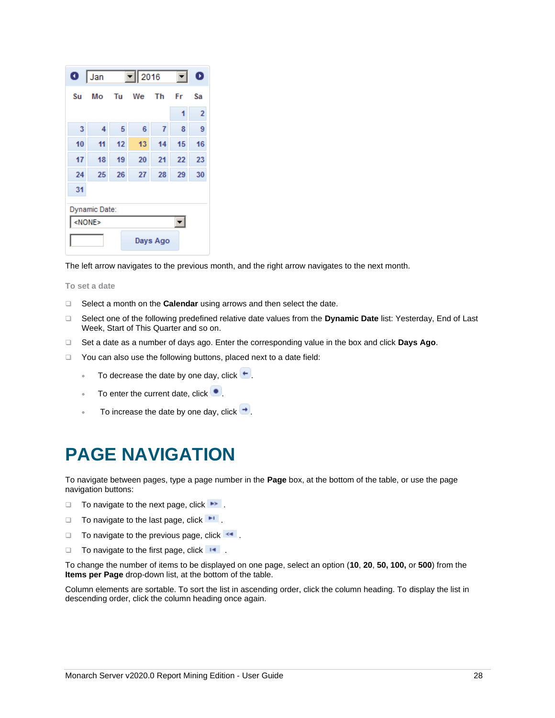| $\bullet$     | Jan |    | $\boxed{}$ 2016 |                |    | 0              |
|---------------|-----|----|-----------------|----------------|----|----------------|
| Su            | Mo  | Tu | We              | Th             | Fr | Sa             |
|               |     |    |                 |                | 1  | $\overline{2}$ |
| 3             | 4   | 5  | 6               | $\overline{1}$ | 8  | 9              |
| 10            | 11  | 12 | 13              | 14             | 15 | 16             |
| 17            | 18  | 19 | 20              | 21             | 22 | 23             |
| 24            | 25  | 26 | 27              | 28             | 29 | 30             |
| 31            |     |    |                 |                |    |                |
| Dynamic Date: |     |    |                 |                |    |                |
| <none></none> |     |    |                 |                |    |                |
| Days Ago      |     |    |                 |                |    |                |

The left arrow navigates to the previous month, and the right arrow navigates to the next month.

**To set a date**

- ❑ Select a month on the **Calendar** using arrows and then select the date.
- ❑ Select one of the following predefined relative date values from the **Dynamic Date** list: Yesterday, End of Last Week, Start of This Quarter and so on.
- ❑ Set a date as a number of days ago. Enter the corresponding value in the box and click **Days Ago**.
- ❑ You can also use the following buttons, placed next to a date field:
	- To decrease the date by one day, click  $\vdash$ .
	- To enter the current date, click  $\bullet$ .
	- To increase the date by one day, click  $\rightarrow$ .

# <span id="page-30-0"></span>**PAGE NAVIGATION**

To navigate between pages, type a page number in the **Page** box, at the bottom of the table, or use the page navigation buttons:

- $\Box$  To navigate to the next page, click  $\blacktriangleright$ .
- $\Box$  To navigate to the last page, click  $\blacksquare$
- □ To navigate to the previous page, click <
- □ To navigate to the first page, click **.**

To change the number of items to be displayed on one page, select an option (**10**, **20**, **50, 100,** or **500**) from the **Items per Page** drop-down list, at the bottom of the table.

Column elements are sortable. To sort the list in ascending order, click the column heading. To display the list in descending order, click the column heading once again.